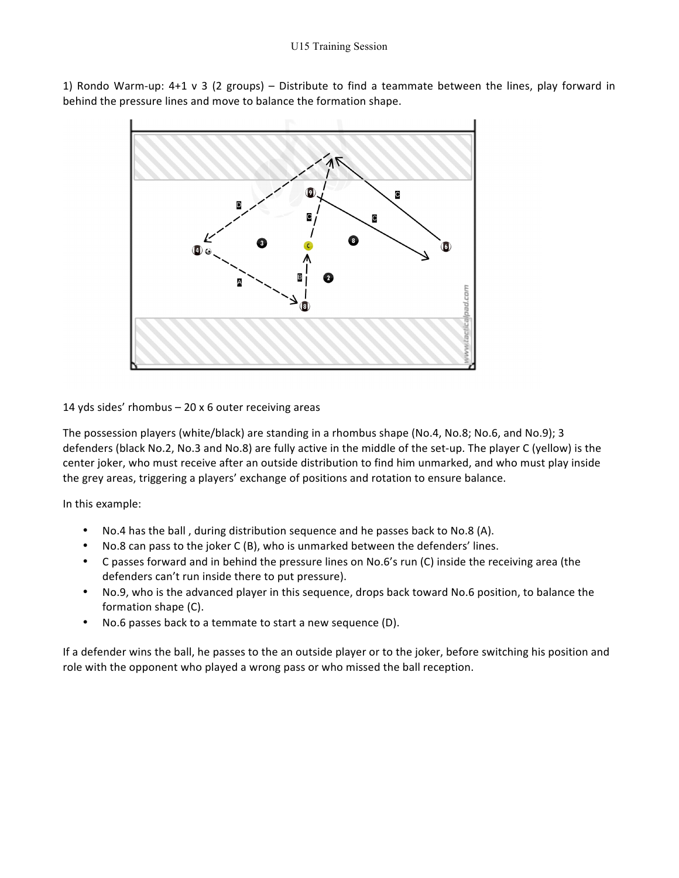1) Rondo Warm-up:  $4+1 \vee 3$  (2 groups) – Distribute to find a teammate between the lines, play forward in behind the pressure lines and move to balance the formation shape.



14 yds sides' rhombus  $-20 \times 6$  outer receiving areas

The possession players (white/black) are standing in a rhombus shape (No.4, No.8; No.6, and No.9); 3 defenders (black No.2, No.3 and No.8) are fully active in the middle of the set-up. The player C (yellow) is the center joker, who must receive after an outside distribution to find him unmarked, and who must play inside the grey areas, triggering a players' exchange of positions and rotation to ensure balance.

In this example:

- No.4 has the ball, during distribution sequence and he passes back to No.8 (A).
- No.8 can pass to the joker C (B), who is unmarked between the defenders' lines.
- C passes forward and in behind the pressure lines on No.6's run (C) inside the receiving area (the defenders can't run inside there to put pressure).
- No.9, who is the advanced player in this sequence, drops back toward No.6 position, to balance the formation shape (C).
- No.6 passes back to a temmate to start a new sequence (D).

If a defender wins the ball, he passes to the an outside player or to the joker, before switching his position and role with the opponent who played a wrong pass or who missed the ball reception.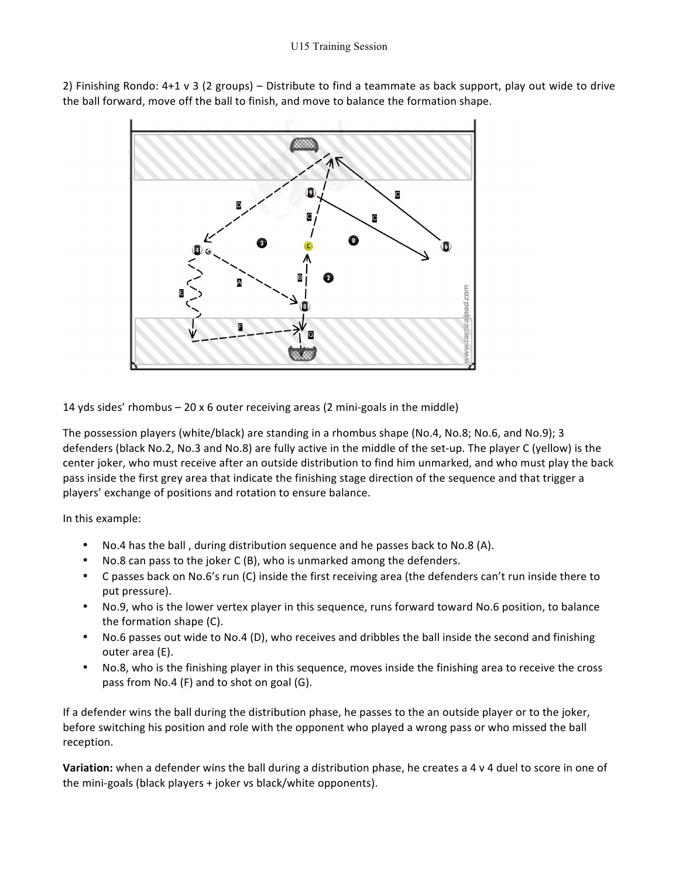2) Finishing Rondo:  $4+1 \vee 3$  (2 groups) – Distribute to find a teammate as back support, play out wide to drive the ball forward, move off the ball to finish, and move to balance the formation shape.



14 yds sides' rhombus  $-20 \times 6$  outer receiving areas (2 mini-goals in the middle)

The possession players (white/black) are standing in a rhombus shape (No.4, No.8; No.6, and No.9); 3 defenders (black No.2, No.3 and No.8) are fully active in the middle of the set-up. The player C (yellow) is the center joker, who must receive after an outside distribution to find him unmarked, and who must play the back pass inside the first grey area that indicate the finishing stage direction of the sequence and that trigger a players' exchange of positions and rotation to ensure balance.

In this example:

- No.4 has the ball, during distribution sequence and he passes back to No.8 (A).
- No.8 can pass to the joker  $C(B)$ , who is unmarked among the defenders.
- C passes back on No.6's run (C) inside the first receiving area (the defenders can't run inside there to put pressure).
- No.9, who is the lower vertex player in this sequence, runs forward toward No.6 position, to balance the formation shape  $(C)$ .
- No.6 passes out wide to No.4 (D), who receives and dribbles the ball inside the second and finishing outer area (E).
- No.8, who is the finishing player in this sequence, moves inside the finishing area to receive the cross pass from No.4 (F) and to shot on goal (G).

If a defender wins the ball during the distribution phase, he passes to the an outside player or to the joker, before switching his position and role with the opponent who played a wrong pass or who missed the ball reception.

**Variation:** when a defender wins the ball during a distribution phase, he creates a 4 v 4 duel to score in one of the mini-goals (black players  $+$  joker vs black/white opponents).